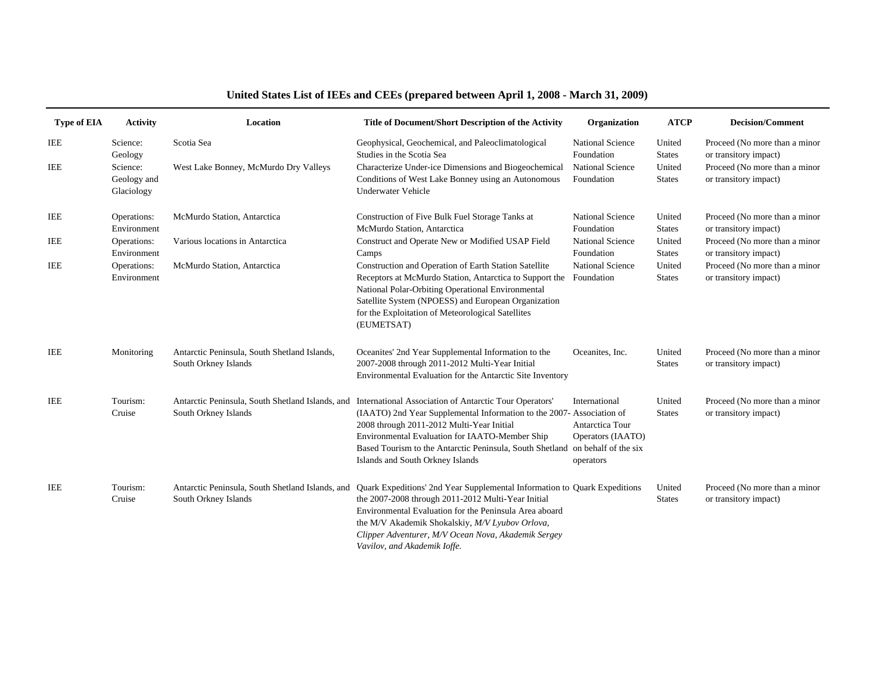## **United States List of IEEs and CEEs (prepared between April 1, 2008 - March 31, 2009)**

| <b>Type of EIA</b> | <b>Activity</b>                       | Location                                                                 | Title of Document/Short Description of the Activity                                                                                                                                                                                                                                                                                 | Organization                                                                               | <b>ATCP</b>             | <b>Decision/Comment</b>                                |
|--------------------|---------------------------------------|--------------------------------------------------------------------------|-------------------------------------------------------------------------------------------------------------------------------------------------------------------------------------------------------------------------------------------------------------------------------------------------------------------------------------|--------------------------------------------------------------------------------------------|-------------------------|--------------------------------------------------------|
| IEE                | Science:<br>Geology                   | Scotia Sea                                                               | Geophysical, Geochemical, and Paleoclimatological<br>Studies in the Scotia Sea                                                                                                                                                                                                                                                      | <b>National Science</b><br>Foundation                                                      | United<br><b>States</b> | Proceed (No more than a minor<br>or transitory impact) |
| IEE                | Science:<br>Geology and<br>Glaciology | West Lake Bonney, McMurdo Dry Valleys                                    | Characterize Under-ice Dimensions and Biogeochemical<br>Conditions of West Lake Bonney using an Autonomous<br><b>Underwater Vehicle</b>                                                                                                                                                                                             | <b>National Science</b><br>Foundation                                                      | United<br><b>States</b> | Proceed (No more than a minor<br>or transitory impact) |
| IEE                | Operations:<br>Environment            | McMurdo Station, Antarctica                                              | Construction of Five Bulk Fuel Storage Tanks at<br>McMurdo Station, Antarctica                                                                                                                                                                                                                                                      | <b>National Science</b><br>Foundation                                                      | United<br><b>States</b> | Proceed (No more than a minor<br>or transitory impact) |
| IEE                | Operations:<br>Environment            | Various locations in Antarctica                                          | Construct and Operate New or Modified USAP Field<br>Camps                                                                                                                                                                                                                                                                           | <b>National Science</b><br>Foundation                                                      | United<br><b>States</b> | Proceed (No more than a minor<br>or transitory impact) |
| <b>IEE</b>         | Operations:<br>Environment            | McMurdo Station, Antarctica                                              | Construction and Operation of Earth Station Satellite<br>Receptors at McMurdo Station, Antarctica to Support the<br>National Polar-Orbiting Operational Environmental<br>Satellite System (NPOESS) and European Organization<br>for the Exploitation of Meteorological Satellites<br>(EUMETSAT)                                     | <b>National Science</b><br>Foundation                                                      | United<br><b>States</b> | Proceed (No more than a minor<br>or transitory impact) |
| IEE                | Monitoring                            | Antarctic Peninsula, South Shetland Islands,<br>South Orkney Islands     | Oceanites' 2nd Year Supplemental Information to the<br>2007-2008 through 2011-2012 Multi-Year Initial<br>Environmental Evaluation for the Antarctic Site Inventory                                                                                                                                                                  | Oceanites, Inc.                                                                            | United<br><b>States</b> | Proceed (No more than a minor<br>or transitory impact) |
| <b>IEE</b>         | Tourism:<br>Cruise                    | Antarctic Peninsula, South Shetland Islands, and<br>South Orkney Islands | International Association of Antarctic Tour Operators'<br>(IAATO) 2nd Year Supplemental Information to the 2007- Association of<br>2008 through 2011-2012 Multi-Year Initial<br>Environmental Evaluation for IAATO-Member Ship<br>Based Tourism to the Antarctic Peninsula, South Shetland<br>Islands and South Orkney Islands      | International<br>Antarctica Tour<br>Operators (IAATO)<br>on behalf of the six<br>operators | United<br><b>States</b> | Proceed (No more than a minor<br>or transitory impact) |
| IEE                | Tourism:<br>Cruise                    | Antarctic Peninsula, South Shetland Islands, and<br>South Orkney Islands | Quark Expeditions' 2nd Year Supplemental Information to Quark Expeditions<br>the 2007-2008 through 2011-2012 Multi-Year Initial<br>Environmental Evaluation for the Peninsula Area aboard<br>the M/V Akademik Shokalskiy, M/V Lyubov Orlova,<br>Clipper Adventurer, M/V Ocean Nova, Akademik Sergey<br>Vavilov, and Akademik Ioffe. |                                                                                            | United<br><b>States</b> | Proceed (No more than a minor<br>or transitory impact) |